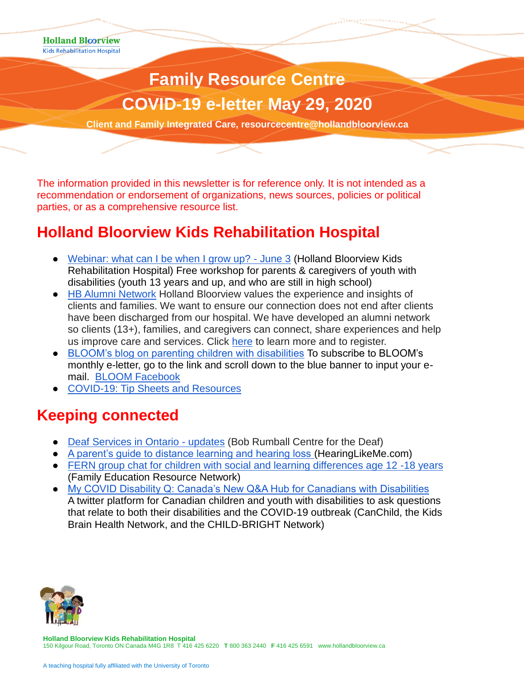**Holland Bloorview Kids Rehabilitation Hospital** 

# **Family Resource Centre COVID-19 e-letter May 29, 2020**

**Cliente Care, resource Integrated Care, resource Integrated Care, respectively.** 

**Client and Family Integrated Care, resourcecentre@hollandbloorview.ca**

The information provided in this newsletter is for reference only. It is not intended as a recommendation or endorsement of organizations, news sources, policies or political parties, or as a comprehensive resource list.

### **Holland Bloorview Kids Rehabilitation Hospital**

- [Webinar: what can I be when I grow up? -](http://hollandbloorview.ca/stories-news-events/events/start-early-strategies-promote-employment-inclusion-june3) June 3 (Holland Bloorview Kids Rehabilitation Hospital) Free workshop for parents & caregivers of youth with disabilities (youth 13 years and up, and who are still in high school)
- [HB Alumni Network](https://hbalumninetwork.ca/) Holland Bloorview values the experience and insights of clients and families. We want to ensure our connection does not end after clients have been discharged from our hospital. We have developed an alumni network so clients (13+), families, and caregivers can connect, share experiences and help us improve care and services. Click [here](https://hbalumninetwork.ca/) to learn more and to register.
- [BLOOM's blog on parenting children with disabilities](https://www.hollandbloorview.ca/stories-news-events/bloom-blog) To subscribe to BLOOM's monthly e-letter, go to the link and scroll down to the blue banner to input your email. [BLOOM Facebook](https://www.facebook.com/BLOOMHollandBloorview/)
- [COVID-19: Tip Sheets and Resources](https://www.hollandbloorview.ca/our-services/family-workshops-resources/covid-19-tip-sheets-and-resources)

#### **Keeping connected**

- [Deaf Services in Ontario -](https://www2.bobrumball.org/2020/04/01/deaf-services-in-ontario-covid-19/) updates (Bob Rumball Centre for the Deaf)
- [A parent's guide to distance learning and hearing loss \(](https://www.hearinglikeme.com/questions-about-distance-learning-for-children-with-hearing-loss/)HearingLikeMe.com)
- [FERN group chat for children with social and learning differences age 12 -18 years](https://www.ctnsy.ca/Events/2020/May/FERN-s-Group-Chat-(ages-12-18)-Online-(5).aspx) (Family Education Resource Network)
- [My COVID Disability Q: Canada's New Q&A Hub for Canadians with Disabilities](https://kidsbrainhealth.ca/index.php/2020/05/11/my-covid-disability-q/) A twitter platform for Canadian children and youth with disabilities to ask questions that relate to both their disabilities and the COVID-19 outbreak (CanChild, the Kids Brain Health Network, and the CHILD-BRIGHT Network)



**Holland Bloorview Kids Rehabilitation Hospital** 150 Kilgour Road, Toronto ON Canada M4G 1R8 T 416 425 6220 **T** 800 363 2440 **F** 416 425 6591 www.hollandbloorview.ca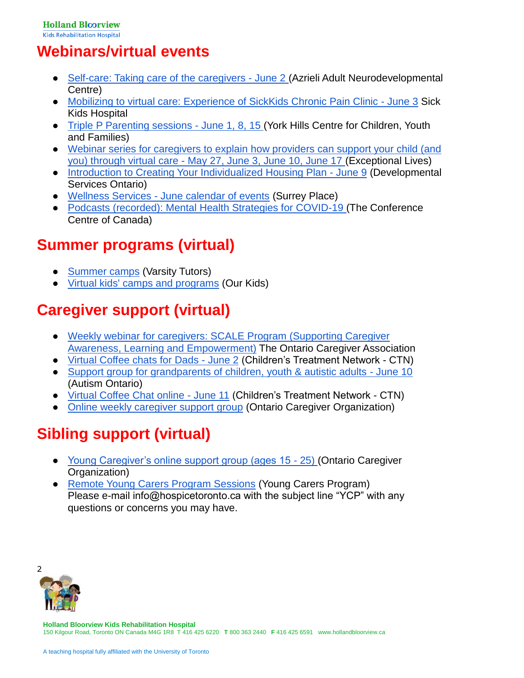## **Webinars/virtual events**

- [Self-care: Taking care of the caregivers -](https://www.eventbrite.ca/e/self-care-taking-care-of-the-caregivers-tickets-98027325369) June 2 (Azrieli Adult Neurodevelopmental Centre)
- [Mobilizing to virtual care: Experience of SickKids Chronic Pain Clinic -](https://register.gotowebinar.com/register/4820682695160267788) June 3 Sick Kids Hospital
- [Triple P Parenting sessions -](https://www.eventbrite.ca/o/york-hills-centre-for-children-youth-and-families-10725006171) June 1, 8, 15 (York Hills Centre for Children, Youth and Families)
- Webinar series for caregivers to explain [how providers can support your child \(and](https://www.exceptionallives.org/webinars#occupational-herapy-at-home)  you) through virtual care - [May 27, June 3, June 10, June 17 \(](https://www.exceptionallives.org/webinars#occupational-herapy-at-home)Exceptional Lives)
- [Introduction to Creating Your Individualized Housing Plan -](https://connectability.ca/2020/05/28/introduction-to-creating-your-individualized-housing-plan/) June 9 (Developmental Services Ontario)
- Wellness Services [June calendar of events](https://www.surreyplace.ca/wp-content/uploads/2020/05/Wellness-June-Program-Guide.pdf) (Surrey Place)
- [Podcasts \(recorded\): Mental Health Strategies for COVID-19 \(](https://www.buzzsprout.com/1026565)The Conference Centre of Canada)

## **Summer programs (virtual)**

- [Summer camps](https://www.varsitytutors.com/virtual-summer-camps) (Varsity Tutors)
- [Virtual kids' camps and programs](https://www.ourkids.net/camp/virtual-programs) (Our Kids)

## **Caregiver support (virtual)**

- [Weekly webinar for caregivers: SCALE Program \(Supporting Caregiver](https://ontariocaregiver.ca/scale-program/)  [Awareness, Learning and Empowerment\)](https://ontariocaregiver.ca/scale-program/) The Ontario Caregiver Association
- [Virtual Coffee chats for Dads -](https://www.ctnsy.ca/Events/2020/June/CTN-Virtual-Coffee-Chat-for-Dads-Online.aspx) June 2 (Children's Treatment Network CTN)
- [Support group for grandparents of children, youth & autistic adults -](https://www.autismontario.com/civicrm/event/info?id=3677&reset=1) June 10 (Autism Ontario)
- [Virtual Coffee Chat online -](https://www.ctnsy.ca/Events/2020/June/Virtual-Coffee-Chat-Online-(1).aspx) June 11 (Children's Treatment Network CTN)
- [Online weekly caregiver support group](https://www.eventbrite.com/e/online-caregiver-support-group-tickets-100295998030) (Ontario Caregiver Organization)

## **Sibling support (virtual)**

- [Young Caregiver's online support group \(ages 15 -](https://www.eventbrite.com/e/young-caregiver-online-support-group-tickets-101926424680) 25) (Ontario Caregiver Organization)
- [Remote Young Carers Program Sessions](https://hospicetoronto.ca/remote-ycp-sessions/) (Young Carers Program) Please e-mail info@hospicetoronto.ca with the subject line "YCP" with any questions or concerns you may have.